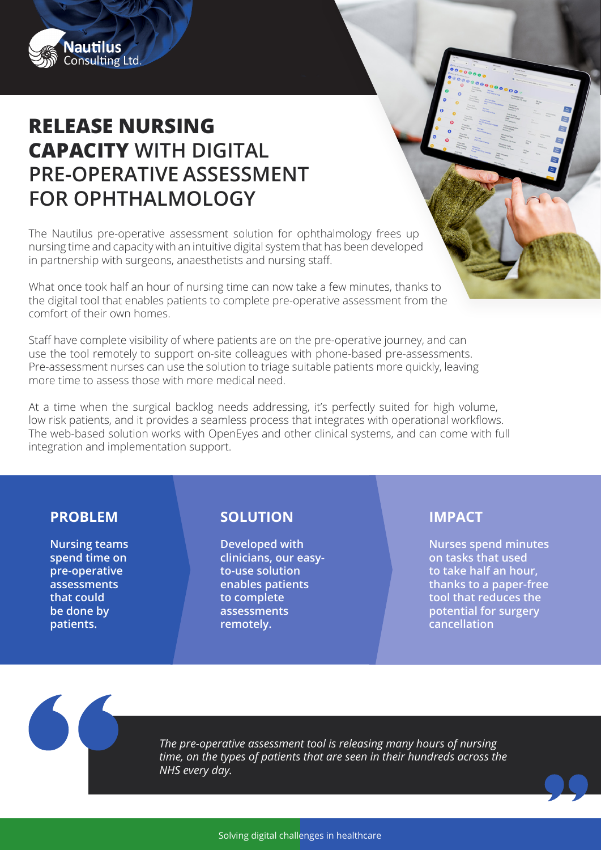

## **RELEASE NURSING CAPACITY WITH DIGITAL PRE-OPERATIVE ASSESSMENT FOR OPHTHALMOLOGY**

The Nautilus pre-operative assessment solution for ophthalmology frees up nursing time and capacity with an intuitive digital system that has been developed in partnership with surgeons, anaesthetists and nursing staff.

What once took half an hour of nursing time can now take a few minutes, thanks to the digital tool that enables patients to complete pre-operative assessment from the comfort of their own homes.

Staff have complete visibility of where patients are on the pre-operative journey, and can use the tool remotely to support on-site colleagues with phone-based pre-assessments. Pre-assessment nurses can use the solution to triage suitable patients more quickly, leaving more time to assess those with more medical need.

At a time when the surgical backlog needs addressing, it's perfectly suited for high volume, low risk patients, and it provides a seamless process that integrates with operational workflows. The web-based solution works with OpenEyes and other clinical systems, and can come with full integration and implementation support.

**Nursing teams spend time on pre-operative assessments that could be done by patients.**

## **PROBLEM SOLUTION IMPACT**

**Developed with clinicians, our easyto-use solution enables patients to complete assessments remotely.**

**Nurses spend minutes on tasks that used to take half an hour, thanks to a paper-free tool that reduces the potential for surgery cancellation**

*The pre-operative assessment tool is releasing many hours of nursing time, on the types of patients that are seen in their hundreds across the NHS every day.*